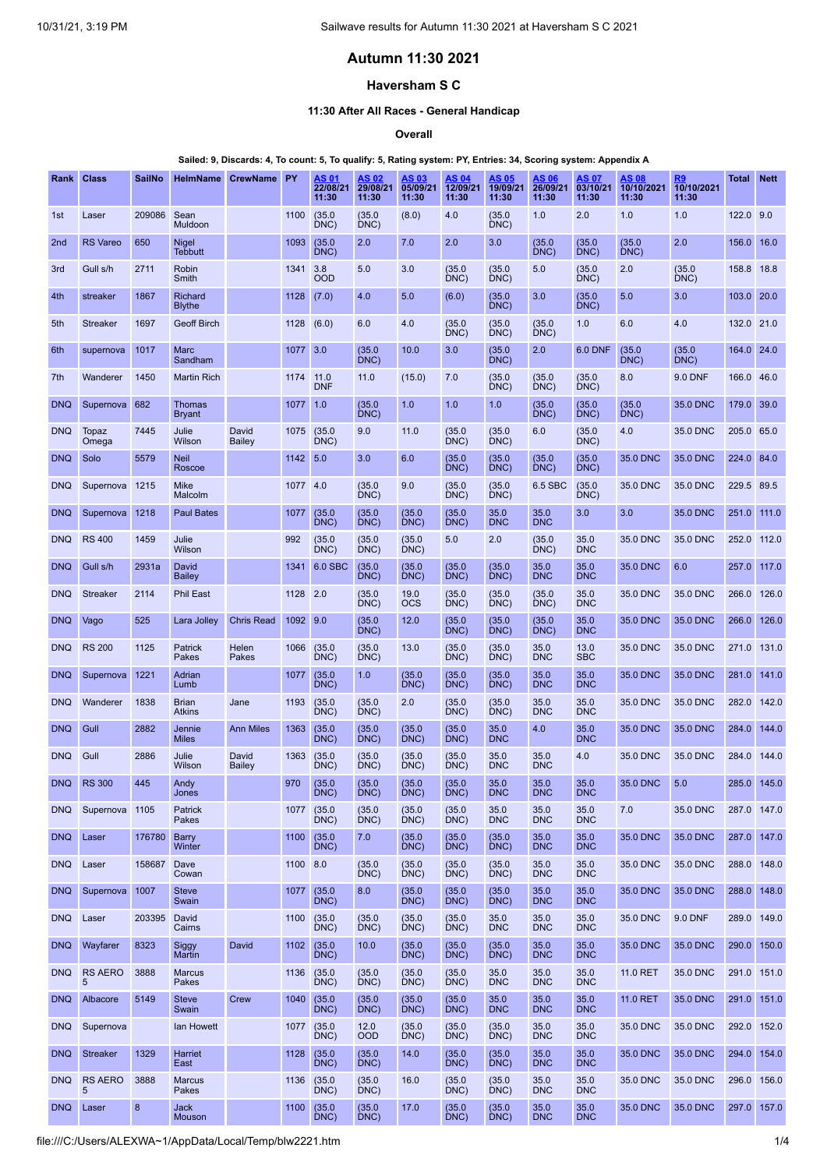# **Autumn 11:30 2021**

#### **Haversham S C**

#### **11:30 After All Races - General Handicap**

**Overall**

#### Sailed: 9, Discards: 4, To count: 5, To qualify: 5, Rating system: PY, Entries: 34, Scoring system: Appendix A

| Rank            | <b>Class</b>        | <b>SailNo</b>    | <b>HelmName</b>                | <b>CrewName</b>        | PY       | AS 01<br>22/08/21<br>11:30 | AS 02<br>29/08/21<br>11:30 | AS 03<br>05/09/21<br>11:30 | AS 04<br>12/09/21<br>11:30 | AS 05<br>19/09/21<br>11:30 | AS 06<br>26/09/21<br>11:30 | AS 07<br>03/10/21<br>11:30 | AS 08<br>10/10/2021<br>11:30 | R9<br>10/10/2021<br>11:30 | Total       | <b>Nett</b> |
|-----------------|---------------------|------------------|--------------------------------|------------------------|----------|----------------------------|----------------------------|----------------------------|----------------------------|----------------------------|----------------------------|----------------------------|------------------------------|---------------------------|-------------|-------------|
| 1st             | Laser               | 209086           | Sean<br>Muldoon                |                        | 1100     | (35.0)<br>DNC)             | (35.0)<br>DNC)             | (8.0)                      | 4.0                        | (35.0)<br>DNC)             | 1.0                        | 2.0                        | 1.0                          | 1.0                       | 122.0 9.0   |             |
| 2 <sub>nd</sub> | <b>RS Vareo</b>     | 650              | Nigel<br>Tebbutt               |                        | 1093     | (35.0)<br>DNC)             | 2.0                        | 7.0                        | 2.0                        | 3.0                        | (35.0)<br>DNC              | (35.0)<br>DNC)             | (35.0)<br>DNC)               | 2.0                       | 156.0       | 16.0        |
| 3rd             | Gull s/h            | 2711             | Robin<br>Smith                 |                        | 1341     | 3.8<br>OOD                 | 5.0                        | 3.0                        | (35.0)<br>DNC)             | (35.0)<br>DNC)             | 5.0                        | (35.0)<br>DNC)             | 2.0                          | (35.0)<br>DNC)            | 158.8 18.8  |             |
| 4th             | streaker            | 1867             | Richard<br><b>Blythe</b>       |                        | 1128     | (7.0)                      | 4.0                        | 5.0                        | (6.0)                      | (35.0)<br>DNC)             | 3.0                        | (35.0)<br>DNC)             | 5.0                          | 3.0                       | 103.0       | 20.0        |
| 5th             | <b>Streaker</b>     | 1697             | <b>Geoff Birch</b>             |                        | 1128     | (6.0)                      | 6.0                        | 4.0                        | (35.0)<br>DNC)             | (35.0)<br>DNC)             | (35.0)<br>DNC)             | 1.0                        | 6.0                          | 4.0                       | 132.0 21.0  |             |
| 6th             | supernova           | 1017             | Marc<br>Sandham                |                        | 1077     | 3.0                        | (35.0)<br>DNC)             | 10.0                       | 3.0                        | (35.0)<br>DNC)             | 2.0                        | <b>6.0 DNF</b>             | (35.0)<br>DNC)               | (35.0)<br>DNC)            | 164.0       | 24.0        |
| 7th             | Wanderer            | 1450             | <b>Martin Rich</b>             |                        | 1174     | 11.0<br><b>DNF</b>         | 11.0                       | (15.0)                     | 7.0                        | (35.0)<br>DNC)             | (35.0)<br>DNC              | (35.0)<br>DNC)             | 8.0                          | <b>9.0 DNF</b>            | 166.0 46.0  |             |
| <b>DNQ</b>      | Supernova           | 682              | <b>Thomas</b><br><b>Bryant</b> |                        | 1077     | 1.0                        | (35.0)<br>DNC)             | 1.0                        | 1.0                        | 1.0                        | (35.0)<br>DNC)             | (35.0)<br>DNC)             | (35.0)<br>DNC)               | 35.0 DNC                  | 179.0       | 39.0        |
| <b>DNQ</b>      | Topaz<br>Omega      | 7445             | Julie<br>Wilson                | David<br><b>Bailey</b> | 1075     | (35.0)<br>DNC)             | 9.0                        | 11.0                       | (35.0)<br>DNC)             | (35.0)<br>DNC)             | 6.0                        | (35.0)<br>DNC)             | 4.0                          | 35.0 DNC                  | 205.0       | 65.0        |
| <b>DNQ</b>      | Solo                | 5579             | <b>Neil</b><br>Roscoe          |                        | 1142 5.0 |                            | 3.0                        | 6.0                        | (35.0)<br>DNC)             | (35.0)<br>DNC)             | (35.0)<br>DNC)             | (35.0)<br>DNC)             | 35.0 DNC                     | 35.0 DNC                  | 224.0       | 84.0        |
| <b>DNQ</b>      | Supernova 1215      |                  | Mike<br>Malcolm                |                        | 1077 4.0 |                            | (35.0)<br>DNC)             | 9.0                        | (35.0)<br>DNC)             | (35.0)<br>DNC)             | 6.5 SBC                    | (35.0)<br>DNC)             | 35.0 DNC                     | 35.0 DNC                  | 229.5 89.5  |             |
| <b>DNQ</b>      | Supernova           | 1218             | <b>Paul Bates</b>              |                        | 1077     | (35.0)<br>DNC)             | (35.0)<br>DNC)             | (35.0)<br>DNC)             | (35.0)<br>DNC)             | 35.0<br><b>DNC</b>         | 35.0<br><b>DNC</b>         | 3.0                        | 3.0                          | 35.0 DNC                  | 251.0       | 111.0       |
| <b>DNQ</b>      | <b>RS 400</b>       | 1459             | Julie<br>Wilson                |                        | 992      | (35.0)<br>DNC)             | (35.0)<br>DNC)             | (35.0)<br>DNC)             | 5.0                        | 2.0                        | (35.0)<br>DNC)             | 35.0<br><b>DNC</b>         | 35.0 DNC                     | 35.0 DNC                  | 252.0       | 112.0       |
| <b>DNQ</b>      | Gull s/h            | 2931a            | David<br>Bailey                |                        | 1341     | 6.0 SBC                    | (35.0)<br>DNC)             | (35.0)<br>DNC)             | (35.0)<br>DNC)             | (35.0)<br>DNC)             | 35.0<br><b>DNC</b>         | 35.0<br><b>DNC</b>         | 35.0 DNC                     | 6.0                       | 257.0       | 117.0       |
| <b>DNQ</b>      | <b>Streaker</b>     | 2114             | <b>Phil East</b>               |                        | 1128 2.0 |                            | (35.0)<br>DNC)             | 19.0<br><b>OCS</b>         | (35.0)<br>DNC)             | (35.0)<br>DNC)             | (35.0)<br>DNC)             | 35.0<br><b>DNC</b>         | 35.0 DNC                     | 35.0 DNC                  | 266.0       | 126.0       |
| <b>DNQ</b>      | Vago                | 525              | Lara Jolley                    | <b>Chris Read</b>      | 1092 9.0 |                            | (35.0)<br>DNC)             | 12.0                       | (35.0)<br>DNC)             | (35.0)<br>DNC)             | (35.0)<br>DNC)             | 35.0<br><b>DNC</b>         | 35.0 DNC                     | 35.0 DNC                  | 266.0       | 126.0       |
| <b>DNQ</b>      | <b>RS 200</b>       | 1125             | Patrick<br>Pakes               | Helen<br>Pakes         | 1066     | (35.0)<br>DNC)             | (35.0)<br>DNC)             | 13.0                       | (35.0)<br>DNC)             | (35.0)<br>DNC)             | 35.0<br><b>DNC</b>         | 13.0<br><b>SBC</b>         | 35.0 DNC                     | 35.0 DNC                  | 271.0       | 131.0       |
| <b>DNQ</b>      | Supernova           | 1221             | Adrian<br>Lumb                 |                        | 1077     | (35.0)<br>DNC)             | 1.0                        | (35.0)<br>DNC)             | (35.0)<br>DNC)             | (35.0)<br>DNC)             | 35.0<br><b>DNC</b>         | 35.0<br><b>DNC</b>         | 35.0 DNC                     | 35.0 DNC                  | 281.0       | 141.0       |
| <b>DNQ</b>      | Wanderer            | 1838             | <b>Brian</b><br><b>Atkins</b>  | Jane                   | 1193     | (35.0)<br>DNC)             | (35.0)<br>DNC)             | 2.0                        | (35.0)<br>DNC)             | (35.0)<br>DNC)             | 35.0<br><b>DNC</b>         | 35.0<br><b>DNC</b>         | 35.0 DNC                     | 35.0 DNC                  | 282.0       | 142.0       |
| <b>DNQ</b>      | Gull                | 2882             | Jennie<br><b>Miles</b>         | <b>Ann Miles</b>       | 1363     | (35.0)<br>DNC)             | (35.0)<br>DNC)             | (35.0)<br>DNC              | (35.0)<br>DNC)             | 35.0<br><b>DNC</b>         | 4.0                        | 35.0<br><b>DNC</b>         | 35.0 DNC                     | 35.0 DNC                  | 284.0       | 144.0       |
| <b>DNQ</b>      | Gull                | 2886             | Julie<br>Wilson                | David<br><b>Bailey</b> | 1363     | (35.0)<br>DNC)             | (35.0)<br>DNC)             | (35.0)<br>DNC)             | (35.0)<br>DNC)             | 35.0<br><b>DNC</b>         | 35.0<br><b>DNC</b>         | 4.0                        | 35.0 DNC                     | 35.0 DNC                  | 284.0       | 144.0       |
| <b>DNQ</b>      | <b>RS 300</b>       | 445              | Andy<br>Jones                  |                        | 970      | (35.0)<br>DNC)             | (35.0)<br>DNC)             | (35.0)<br>DNC)             | (35.0)<br>DNC)             | 35.0<br><b>DNC</b>         | 35.0<br><b>DNC</b>         | 35.0<br><b>DNC</b>         | 35.0 DNC                     | 5.0                       | 285.0       | 145.0       |
| <b>DNQ</b>      | Supernova 1105      |                  | Patrick<br>Pakes               |                        | 1077     | (35.0)<br>DNC)             | (35.0)<br>DNC)             | (35.0)<br>$DNC$ )          | (35.0)<br>DNC)             | 35.0<br><b>DNC</b>         | 35.0<br><b>DNC</b>         | 35.0<br><b>DNC</b>         | 7.0                          | 35.0 DNC                  | 287.0 147.0 |             |
| <b>DNQ</b>      | Laser               | 176780           | <b>Barry</b><br>Winter         |                        | 1100     | (35.0)<br>DNC)             | 7.0                        | (35.0)<br>$DNC$ )          | (35.0)<br>DNC)             | (35.0)<br>DNC)             | 35.0<br><b>DNC</b>         | 35.0<br><b>DNC</b>         | 35.0 DNC                     | 35.0 DNC                  | 287.0       | 147.0       |
| <b>DNQ</b>      | Laser               | 158687           | Dave<br>Cowan                  |                        | 1100     | 8.0                        | (35.0)<br>DNC)             | (35.0)<br>DNC)             | (35.0)<br>DNC)             | (35.0)<br>DNC)             | 35.0<br><b>DNC</b>         | 35.0<br><b>DNC</b>         | 35.0 DNC                     | 35.0 DNC                  | 288.0       | 148.0       |
| <b>DNQ</b>      | Supernova           | 1007             | <b>Steve</b><br>Swain          |                        | 1077     | (35.0)<br>DNC)             | 8.0                        | (35.0)<br>$DNC$ )          | (35.0)                     | (35.0)<br>DNC)             | 35.0<br><b>DNC</b>         | 35.0<br><b>DNC</b>         | 35.0 DNC                     | 35.0 DNC                  | 288.0       | 148.0       |
| <b>DNQ</b>      | Laser               | 203395           | David<br>Cairns                |                        | 1100     | (35.0)<br>DNC)             | (35.0)<br>DNC)             | (35.0)<br>$DNC$ )          | (35.0)<br>DNC)             | 35.0<br><b>DNC</b>         | 35.0<br><b>DNC</b>         | 35.0<br><b>DNC</b>         | 35.0 DNC                     | 9.0 DNF                   | 289.0 149.0 |             |
| <b>DNQ</b>      | Wayfarer            | 8323             | Siggy<br>Martin                | David                  | 1102     | (35.0)<br>DNC)             | 10.0                       | (35.0)<br>$DNC$ )          | (35.0)<br>DNC)             | (35.0)<br>DNC)             | 35.0<br><b>DNC</b>         | 35.0<br><b>DNC</b>         | 35.0 DNC                     | 35.0 DNC                  | 290.0       | 150.0       |
| <b>DNQ</b>      | <b>RS AERO</b><br>5 | 3888             | <b>Marcus</b><br>Pakes         |                        | 1136     | (35.0)<br>DNC)             | (35.0)<br>DNC)             | (35.0)<br>$DNC$ )          | (35.0)<br>DNC)             | 35.0<br><b>DNC</b>         | 35.0<br><b>DNC</b>         | 35.0<br><b>DNC</b>         | 11.0 RET                     | 35.0 DNC                  | 291.0 151.0 |             |
| <b>DNQ</b>      | Albacore            | 5149             | <b>Steve</b><br>Swain          | Crew                   | 1040     | (35.0)<br>DNC)             | (35.0)<br>DNC)             | (35.0)<br>$DNC$ )          | (35.0)                     | 35.0<br><b>DNC</b>         | 35.0<br><b>DNC</b>         | 35.0<br><b>DNC</b>         | 11.0 RET                     | 35.0 DNC                  | 291.0       | 151.0       |
| <b>DNQ</b>      | Supernova           |                  | lan Howett                     |                        | 1077     | (35.0)<br>DNC)             | 12.0<br><b>OOD</b>         | (35.0)<br>$DNC$ )          | (35.0)<br>DNC)             | (35.0)<br>DNC)             | 35.0<br><b>DNC</b>         | 35.0<br><b>DNC</b>         | 35.0 DNC                     | 35.0 DNC                  | 292.0 152.0 |             |
| <b>DNQ</b>      | <b>Streaker</b>     | 1329             | Harriet<br>East                |                        | 1128     | (35.0)<br>DNC)             | (35.0)<br>DNC)             | 14.0                       | (35.0)<br>DNC)             | (35.0)<br>DNC)             | 35.0<br><b>DNC</b>         | 35.0<br><b>DNC</b>         | 35.0 DNC                     | 35.0 DNC                  | 294.0       | 154.0       |
| <b>DNQ</b>      | <b>RS AERO</b><br>5 | 3888             | <b>Marcus</b><br>Pakes         |                        | 1136     | (35.0)<br>DNC)             | (35.0)<br>DNC)             | 16.0                       | (35.0)<br>DNC)             | (35.0)<br>DNC)             | 35.0<br><b>DNC</b>         | 35.0<br><b>DNC</b>         | 35.0 DNC                     | 35.0 DNC                  | 296.0       | 156.0       |
| <b>DNQ</b>      | Laser               | $\boldsymbol{8}$ | <b>Jack</b><br>Mouson          |                        | 1100     | (35.0)<br>DNC)             | (35.0)<br>DNC)             | 17.0                       | (35.0)                     | (35.0)<br>DNC)             | 35.0<br><b>DNC</b>         | 35.0<br><b>DNC</b>         | 35.0 DNC                     | 35.0 DNC                  | 297.0 157.0 |             |

file:///C:/Users/ALEXWA~1/AppData/Local/Temp/blw2221.htm 1/4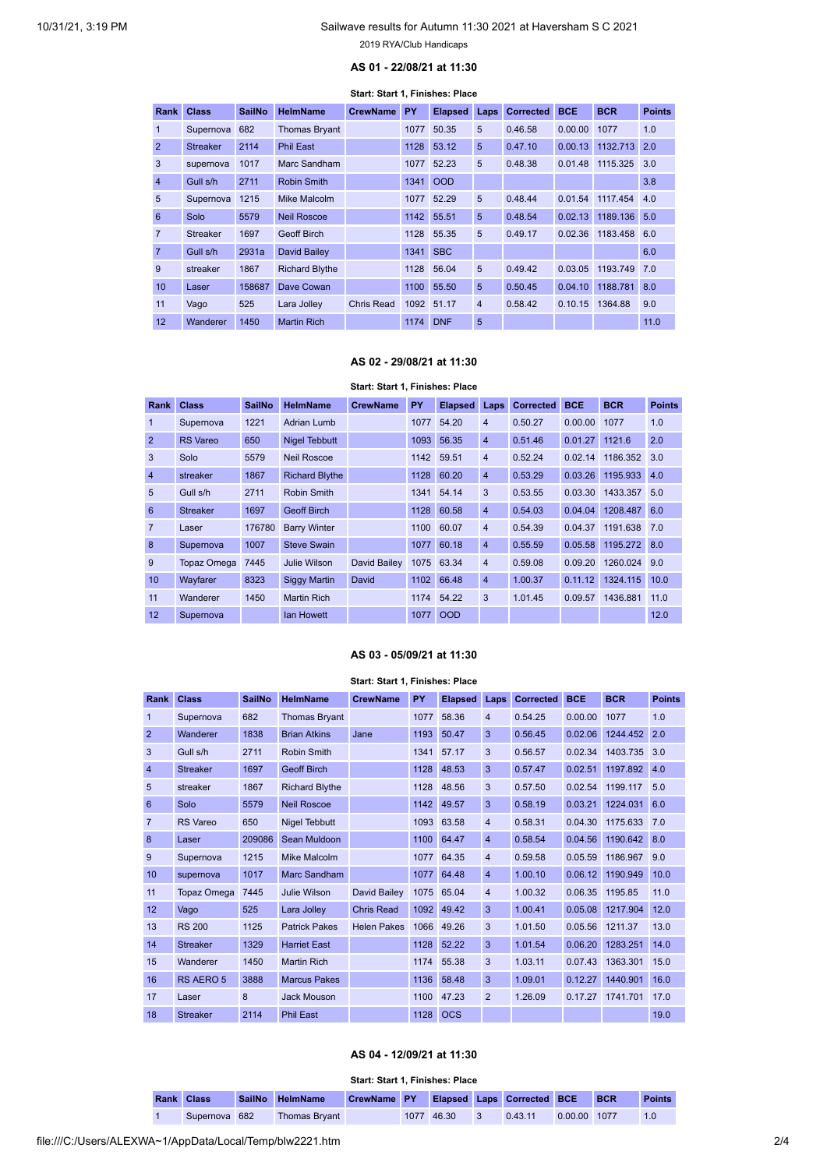# **AS 01 - 22/08/21 at 11:30**

#### **Start: Start 1, Finishes: Place**

<span id="page-1-0"></span>

| Rank             | <b>Class</b>    | <b>SailNo</b> | <b>HelmName</b>       | <b>CrewName</b> | PY   | <b>Elapsed</b> | Laps           | <b>Corrected</b> | <b>BCE</b> | <b>BCR</b> | <b>Points</b> |
|------------------|-----------------|---------------|-----------------------|-----------------|------|----------------|----------------|------------------|------------|------------|---------------|
| 1                | Supernova       | 682           | <b>Thomas Bryant</b>  |                 | 1077 | 50.35          | 5              | 0.46.58          | 0.00.00    | 1077       | 1.0           |
| $\overline{2}$   | <b>Streaker</b> | 2114          | <b>Phil East</b>      |                 | 1128 | 53.12          | 5              | 0.47.10          | 0.00.13    | 1132.713   | 2.0           |
| 3                | supernova       | 1017          | Marc Sandham          |                 | 1077 | 52.23          | 5              | 0.48.38          | 0.01.48    | 1115.325   | 3.0           |
| $\overline{4}$   | Gull s/h        | 2711          | <b>Robin Smith</b>    |                 | 1341 | <b>OOD</b>     |                |                  |            |            | 3.8           |
| 5                | Supernova       | 1215          | Mike Malcolm          |                 |      | 1077 52.29     | 5              | 0.48.44          | 0.01.54    | 1117.454   | 4.0           |
| 6                | Solo            | 5579          | <b>Neil Roscoe</b>    |                 | 1142 | 55.51          | 5              | 0.48.54          | 0.02.13    | 1189.136   | 5.0           |
| $\overline{7}$   | <b>Streaker</b> | 1697          | Geoff Birch           |                 |      | 1128 55.35     | 5              | 0.49.17          | 0.02.36    | 1183.458   | 6.0           |
| $\overline{7}$   | Gull s/h        | 2931a         | David Bailey          |                 | 1341 | <b>SBC</b>     |                |                  |            |            | 6.0           |
| 9                | streaker        | 1867          | <b>Richard Blythe</b> |                 | 1128 | 56.04          | 5              | 0.49.42          | 0.03.05    | 1193.749   | 7.0           |
| 10 <sup>10</sup> | Laser           | 158687        | Dave Cowan            |                 | 1100 | 55.50          | 5              | 0.50.45          | 0.04.10    | 1188.781   | 8.0           |
| 11               | Vago            | 525           | Lara Jolley           | Chris Read      |      | 1092 51.17     | $\overline{4}$ | 0.58.42          | 0.10.15    | 1364.88    | 9.0           |
| 12               | Wanderer        | 1450          | <b>Martin Rich</b>    |                 | 1174 | <b>DNF</b>     | 5              |                  |            |            | 11.0          |

#### **AS 02 - 29/08/21 at 11:30**

# **Start: Start 1, Finishes: Place**

<span id="page-1-1"></span>

|                  | Rank Class         | <b>SailNo</b> | <b>HelmName</b>       | <b>CrewName</b> | PY   | <b>Elapsed</b> | Laps           | <b>Corrected</b> | <b>BCE</b> | <b>BCR</b>   | <b>Points</b> |
|------------------|--------------------|---------------|-----------------------|-----------------|------|----------------|----------------|------------------|------------|--------------|---------------|
| $\mathbf{1}$     | Supernova          | 1221          | Adrian Lumb           |                 | 1077 | 54.20          | $\overline{4}$ | 0.50.27          | 0.00.00    | 1077         | 1.0           |
| $\overline{2}$   | <b>RS</b> Vareo    | 650           | <b>Nigel Tebbutt</b>  |                 | 1093 | 56.35          | $\overline{4}$ | 0.51.46          | 0.01.27    | 1121.6       | 2.0           |
| 3                | Solo               | 5579          | <b>Neil Roscoe</b>    |                 |      | 1142 59.51     | $\overline{4}$ | 0.52.24          | 0.02.14    | 1186.352     | 3.0           |
| $\overline{4}$   | streaker           | 1867          | <b>Richard Blythe</b> |                 | 1128 | 60.20          | $\overline{4}$ | 0.53.29          | 0.03.26    | 1195.933     | 4.0           |
| 5                | Gull s/h           | 2711          | Robin Smith           |                 |      | 1341 54.14     | 3              | 0.53.55          | 0.03.30    | 1433.357 5.0 |               |
| 6                | <b>Streaker</b>    | 1697          | <b>Geoff Birch</b>    |                 | 1128 | 60.58          | $\overline{4}$ | 0.54.03          | 0.04.04    | 1208.487     | 6.0           |
| $\overline{7}$   | Laser              | 176780        | <b>Barry Winter</b>   |                 | 1100 | 60.07          | $\overline{4}$ | 0.54.39          | 0.04.37    | 1191.638     | 7.0           |
| 8                | Supernova          | 1007          | <b>Steve Swain</b>    |                 | 1077 | 60.18          | $\overline{4}$ | 0.55.59          | 0.05.58    | 1195.272     | 8.0           |
| 9                | <b>Topaz Omega</b> | 7445          | Julie Wilson          | David Bailey    |      | 1075 63.34     | $\overline{4}$ | 0.59.08          | 0.09.20    | 1260.024     | 9.0           |
| 10 <sup>10</sup> | Wayfarer           | 8323          | <b>Siggy Martin</b>   | David           | 1102 | 66.48          | $\overline{4}$ | 1.00.37          | 0.11.12    | 1324.115     | 10.0          |
| 11               | Wanderer           | 1450          | <b>Martin Rich</b>    |                 | 1174 | 54.22          | 3              | 1.01.45          | 0.09.57    | 1436.881     | 11.0          |
| 12               | Supernova          |               | lan Howett            |                 | 1077 | <b>OOD</b>     |                |                  |            |              | 12.0          |

#### **AS 03 - 05/09/21 at 11:30**

#### **Start: Start 1, Finishes: Place**

<span id="page-1-2"></span>

| Rank           | <b>Class</b>       | <b>SailNo</b> | <b>HelmName</b>       | <b>CrewName</b>     | PY   | <b>Elapsed</b> | Laps           | <b>Corrected</b> | <b>BCE</b> | <b>BCR</b> | <b>Points</b> |
|----------------|--------------------|---------------|-----------------------|---------------------|------|----------------|----------------|------------------|------------|------------|---------------|
| 1              | Supernova          | 682           | <b>Thomas Bryant</b>  |                     | 1077 | 58.36          | $\overline{4}$ | 0.54.25          | 0.00.00    | 1077       | 1.0           |
| $\overline{2}$ | Wanderer           | 1838          | <b>Brian Atkins</b>   | Jane                | 1193 | 50.47          | 3              | 0.56.45          | 0.02.06    | 1244.452   | 2.0           |
| 3              | Gull s/h           | 2711          | Robin Smith           |                     | 1341 | 57.17          | 3              | 0.56.57          | 0.02.34    | 1403.735   | 3.0           |
| $\overline{4}$ | <b>Streaker</b>    | 1697          | <b>Geoff Birch</b>    |                     | 1128 | 48.53          | 3              | 0.57.47          | 0.02.51    | 1197.892   | 4.0           |
| 5              | streaker           | 1867          | <b>Richard Blythe</b> |                     | 1128 | 48.56          | 3              | 0.57.50          | 0.02.54    | 1199.117   | 5.0           |
| 6              | Solo               | 5579          | <b>Neil Roscoe</b>    |                     | 1142 | 49.57          | 3              | 0.58.19          | 0.03.21    | 1224.031   | 6.0           |
| $\overline{7}$ | <b>RS</b> Vareo    | 650           | <b>Nigel Tebbutt</b>  |                     | 1093 | 63.58          | $\overline{4}$ | 0.58.31          | 0.04.30    | 1175.633   | 7.0           |
| 8              | Laser              | 209086        | Sean Muldoon          |                     | 1100 | 64.47          | $\overline{4}$ | 0.58.54          | 0.04.56    | 1190.642   | 8.0           |
| 9              | Supernova          | 1215          | <b>Mike Malcolm</b>   |                     | 1077 | 64.35          | $\overline{4}$ | 0.59.58          | 0.05.59    | 1186.967   | 9.0           |
| 10             | supernova          | 1017          | Marc Sandham          |                     | 1077 | 64.48          | $\overline{4}$ | 1.00.10          | 0.06.12    | 1190.949   | 10.0          |
| 11             | <b>Topaz Omega</b> | 7445          | Julie Wilson          | <b>David Bailev</b> | 1075 | 65.04          | $\overline{4}$ | 1.00.32          | 0.06.35    | 1195.85    | 11.0          |
| 12             | Vago               | 525           | Lara Jolley           | <b>Chris Read</b>   | 1092 | 49.42          | 3              | 1.00.41          | 0.05.08    | 1217.904   | 12.0          |
| 13             | <b>RS 200</b>      | 1125          | <b>Patrick Pakes</b>  | <b>Helen Pakes</b>  | 1066 | 49.26          | 3              | 1.01.50          | 0.05.56    | 1211.37    | 13.0          |
| 14             | <b>Streaker</b>    | 1329          | <b>Harriet East</b>   |                     | 1128 | 52.22          | 3              | 1.01.54          | 0.06.20    | 1283.251   | 14.0          |
| 15             | Wanderer           | 1450          | <b>Martin Rich</b>    |                     | 1174 | 55.38          | 3              | 1.03.11          | 0.07.43    | 1363.301   | 15.0          |
| 16             | RS AERO 5          | 3888          | <b>Marcus Pakes</b>   |                     | 1136 | 58.48          | 3              | 1.09.01          | 0.12.27    | 1440.901   | 16.0          |
| 17             | Laser              | 8             | Jack Mouson           |                     | 1100 | 47.23          | 2              | 1.26.09          | 0.17.27    | 1741.701   | 17.0          |
| 18             | <b>Streaker</b>    | 2114          | <b>Phil East</b>      |                     | 1128 | <b>OCS</b>     |                |                  |            |            | 19.0          |

#### **AS 04 - 12/09/21 at 11:30**

#### **Start: Start 1, Finishes: Place**

<span id="page-1-3"></span>

| <b>Rank Class</b> |           |     | SailNo HelmName      | CrewName PY |            | <b>Elapsed Laps Corrected BCE</b> |              | <b>BCR</b> | <b>Points</b> |
|-------------------|-----------|-----|----------------------|-------------|------------|-----------------------------------|--------------|------------|---------------|
|                   | Supernova | 682 | <b>Thomas Bryant</b> |             | 1077 46.30 | 0.43.11                           | 0.00.00 1077 |            | 1.0           |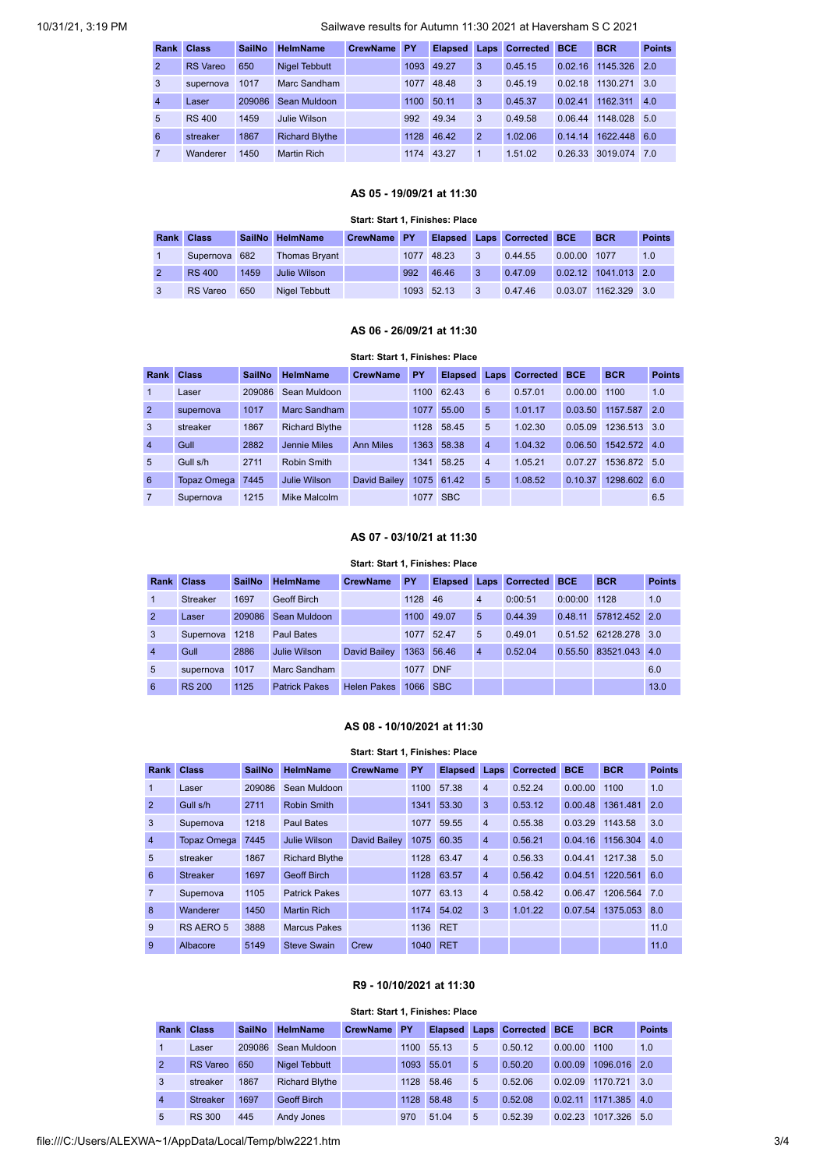# 10/31/21, 3:19 PM Sailwave results for Autumn 11:30 2021 at Haversham S C 2021

| Rank           | <b>Class</b>    | <b>SailNo</b> | <b>HelmName</b>       | <b>CrewName</b> | <b>PY</b> | <b>Elapsed</b> |                | <b>Laps Corrected</b> | <b>BCE</b> | <b>BCR</b> | <b>Points</b>   |
|----------------|-----------------|---------------|-----------------------|-----------------|-----------|----------------|----------------|-----------------------|------------|------------|-----------------|
| $\overline{2}$ | <b>RS</b> Vareo | 650           | <b>Nigel Tebbutt</b>  |                 | 1093      | 49.27          | 3              | 0.45.15               | 0.02.16    | 1145.326   | 2.0             |
| 3              | supernova       | 1017          | Marc Sandham          |                 | 1077      | 48.48          | 3              | 0.45.19               | 0.02.18    | 1130.271   | 3.0             |
| $\overline{4}$ | Laser           | 209086        | Sean Muldoon          |                 | 1100      | 50.11          | 3              | 0.45.37               | 0.02.41    | 1162.311   | 4.0             |
| $\overline{5}$ | <b>RS 400</b>   | 1459          | Julie Wilson          |                 | 992       | 49.34          | 3              | 0.49.58               | 0.06.44    | 1148.028   | 5.0             |
| 6              | streaker        | 1867          | <b>Richard Blythe</b> |                 | 1128      | 46.42          | $\overline{2}$ | 1.02.06               | 0.14.14    | 1622.448   | 6.0             |
| $\overline{7}$ | Wanderer        | 1450          | <b>Martin Rich</b>    |                 | 1174      | 43.27          |                | 1.51.02               | 0.26.33    | 3019.074   | $\overline{70}$ |

# **AS 05 - 19/09/21 at 11:30**

#### **Start: Start 1, Finishes: Place**

<span id="page-2-0"></span>

| Rank Class      |      | SailNo HelmName      | <b>CrewName PY</b> |     |            |                         | Elapsed Laps Corrected BCE |              | <b>BCR</b>           | <b>Points</b> |
|-----------------|------|----------------------|--------------------|-----|------------|-------------------------|----------------------------|--------------|----------------------|---------------|
| Supernova 682   |      | <b>Thomas Brvant</b> |                    |     | 1077 48.23 | 3                       | 0.44.55                    | 0.00.00 1077 |                      | 1.0           |
| <b>RS 400</b>   | 1459 | Julie Wilson         |                    | 992 | 46.46      | $\overline{\mathbf{3}}$ | 0.47.09                    |              | 0.02.12 1041.013 2.0 |               |
| <b>RS</b> Vareo | 650  | Nigel Tebbutt        |                    |     | 1093 52.13 | 3                       | 0.47.46                    |              | 0.03.07 1162.329 3.0 |               |

#### **AS 06 - 26/09/21 at 11:30**

#### **Start: Start 1, Finishes: Place**

<span id="page-2-1"></span>

| Rank           | <b>Class</b>       | <b>SailNo</b> | <b>HelmName</b>       | <b>CrewName</b>  | PY   | <b>Elapsed</b> | Laps           | <b>Corrected BCE</b> |         | <b>BCR</b>   | <b>Points</b> |
|----------------|--------------------|---------------|-----------------------|------------------|------|----------------|----------------|----------------------|---------|--------------|---------------|
| 1              | Laser              | 209086        | Sean Muldoon          |                  | 1100 | 62.43          | 6              | 0.57.01              | 0.00.00 | 1100         | 1.0           |
| $\overline{2}$ | supernova          | 1017          | Marc Sandham          |                  | 1077 | 55.00          | 5              | 1.01.17              | 0.03.50 | 1157.587     | 2.0           |
| 3              | streaker           | 1867          | <b>Richard Blythe</b> |                  | 1128 | 58.45          | 5              | 1.02.30              | 0.05.09 | 1236.513 3.0 |               |
| $\overline{4}$ | Gull               | 2882          | Jennie Miles          | <b>Ann Miles</b> | 1363 | 58.38          | $\overline{4}$ | 1.04.32              | 0.06.50 | 1542.572 4.0 |               |
| $\overline{5}$ | Gull s/h           | 2711          | Robin Smith           |                  | 1341 | 58.25          | $\overline{4}$ | 1.05.21              | 0.07.27 | 1536.872 5.0 |               |
| 6              | <b>Topaz Omega</b> | 7445          | Julie Wilson          | David Bailey     | 1075 | 61.42          | 5              | 1.08.52              | 0.10.37 | 1298.602     | 6.0           |
| $\overline{7}$ | Supernova          | 1215          | Mike Malcolm          |                  | 1077 | <b>SBC</b>     |                |                      |         |              | 6.5           |

## **AS 07 - 03/10/21 at 11:30**

#### **Start: Start 1, Finishes: Place**

<span id="page-2-2"></span>

| Rank           | <b>Class</b>    | <b>SailNo</b> | <b>HelmName</b>      | <b>CrewName</b>    | <b>PY</b> | <b>Elapsed</b> | Laps           | <b>Corrected BCE</b> |         | <b>BCR</b>    | <b>Points</b> |
|----------------|-----------------|---------------|----------------------|--------------------|-----------|----------------|----------------|----------------------|---------|---------------|---------------|
|                | <b>Streaker</b> | 1697          | Geoff Birch          |                    | 1128      | 46             | $\overline{4}$ | 0:00:51              | 0:00:00 | 1128          | 1.0           |
| $\overline{2}$ | Laser           | 209086        | Sean Muldoon         |                    | 1100      | 49.07          | 5              | 0.44.39              | 0.48.11 | 57812.452 2.0 |               |
| 3              | Supernova       | 1218          | Paul Bates           |                    | 1077      | 52.47          | 5              | 0.49.01              | 0.51.52 | 62128.278 3.0 |               |
| $\overline{4}$ | Gull            | 2886          | Julie Wilson         | David Bailev       | 1363      | 56.46          | $\overline{4}$ | 0.52.04              | 0.55.50 | 83521.043     | 4.0           |
| $\overline{5}$ | supernova       | 1017          | Marc Sandham         |                    | 1077      | <b>DNF</b>     |                |                      |         |               | 6.0           |
| 6              | <b>RS 200</b>   | 1125          | <b>Patrick Pakes</b> | <b>Helen Pakes</b> | 1066      | <b>SBC</b>     |                |                      |         |               | 13.0          |

### **AS 08 - 10/10/2021 at 11:30**

<span id="page-2-3"></span>

|                | Start: Start 1, Finishes: Place |               |                       |                 |          |                |                |                  |            |                  |               |  |  |  |  |
|----------------|---------------------------------|---------------|-----------------------|-----------------|----------|----------------|----------------|------------------|------------|------------------|---------------|--|--|--|--|
| <b>Rank</b>    | <b>Class</b>                    | <b>SailNo</b> | <b>HelmName</b>       | <b>CrewName</b> | PY       | <b>Elapsed</b> | Laps           | <b>Corrected</b> | <b>BCE</b> | <b>BCR</b>       | <b>Points</b> |  |  |  |  |
| $\mathbf{1}$   | Laser                           | 209086        | Sean Muldoon          |                 | 1100     | 57.38          | $\overline{4}$ | 0.52.24          | 0.00.00    | 1100             | 1.0           |  |  |  |  |
| $\overline{2}$ | Gull s/h                        | 2711          | Robin Smith           |                 | 1341     | 53.30          | 3              | 0.53.12          | 0.00.48    | 1361.481         | 2.0           |  |  |  |  |
| 3              | Supernova                       | 1218          | <b>Paul Bates</b>     |                 | 1077     | 59.55          | $\overline{4}$ | 0.55.38          | 0.03.29    | 1143.58          | 3.0           |  |  |  |  |
| $\overline{4}$ | <b>Topaz Omega</b>              | 7445          | Julie Wilson          | David Bailey    | 1075     | 60.35          | $\overline{4}$ | 0.56.21          |            | 0.04.16 1156.304 | 4.0           |  |  |  |  |
| 5              | streaker                        | 1867          | <b>Richard Blythe</b> |                 |          | 1128 63.47     | $\overline{4}$ | 0.56.33          | 0.04.41    | 1217.38          | 5.0           |  |  |  |  |
| 6              | <b>Streaker</b>                 | 1697          | <b>Geoff Birch</b>    |                 | 1128     | 63.57          | $\overline{4}$ | 0.56.42          | 0.04.51    | 1220.561         | 6.0           |  |  |  |  |
| $\overline{7}$ | Supernova                       | 1105          | <b>Patrick Pakes</b>  |                 | 1077     | 63.13          | $\overline{4}$ | 0.58.42          | 0.06.47    | 1206.564         | 7.0           |  |  |  |  |
| 8              | Wanderer                        | 1450          | <b>Martin Rich</b>    |                 |          | 1174 54.02     | 3              | 1.01.22          | 0.07.54    | 1375.053         | 8.0           |  |  |  |  |
| 9              | RS AERO 5                       | 3888          | <b>Marcus Pakes</b>   |                 | 1136 RET |                |                |                  |            |                  | 11.0          |  |  |  |  |
| 9              | Albacore                        | 5149          | <b>Steve Swain</b>    | Crew            | 1040 RET |                |                |                  |            |                  | 11.0          |  |  |  |  |

#### **R9 - 10/10/2021 at 11:30**

#### **Start: Start 1, Finishes: Place**

<span id="page-2-4"></span>

| Rank           | <b>Class</b>    | <b>SailNo</b> | <b>HelmName</b>       | <b>CrewName</b> | PY   |       |   | Elapsed Laps Corrected | <b>BCE</b> | <b>BCR</b>   | <b>Points</b> |
|----------------|-----------------|---------------|-----------------------|-----------------|------|-------|---|------------------------|------------|--------------|---------------|
|                | Laser           | 209086        | Sean Muldoon          |                 | 1100 | 55.13 | 5 | 0.50.12                | 0.00.00    | 1100         | 1.0           |
| $\overline{2}$ | <b>RS</b> Vareo | 650           | Nigel Tebbutt         |                 | 1093 | 55.01 | 5 | 0.50.20                | 0.00.09    | 1096.016 2.0 |               |
| 3              | streaker        | 1867          | <b>Richard Blythe</b> |                 | 1128 | 58.46 | 5 | 0.52.06                | 0.02.09    | 1170.721     | 3.0           |
| $\overline{4}$ | <b>Streaker</b> | 1697          | <b>Geoff Birch</b>    |                 | 1128 | 58.48 | 5 | 0.52.08                | 0.02.11    | 1171.385     | 4.0           |
| 5              | <b>RS 300</b>   | 445           | Andy Jones            |                 | 970  | 51.04 | 5 | 0.52.39                | 0.02.23    | 1017.326     | 50            |